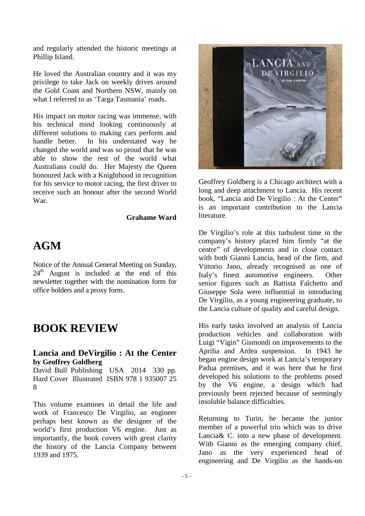and regularly attended the historic meetings at Phillip Island.

He loved the Australian country and it was my privilege to take Jack on weekly drives around the Gold Coast and Northern NSW, mainly on what I referred to as 'Targa Tasmania' roads.

His impact on motor racing was immense, with his technical mind looking continuously at different solutions to making cars perform and handle better. In his understated way he changed the world and was so proud that he was able to show the rest of the world what Australians could do. Her Majesty the Queen honoured Jack with a Knighthood in recognition for his service to motor racing, the first driver to receive such an honour after the second World War.

#### **Grahame Ward**

## **AGM**

Notice of the Annual General Meeting on Sunday,  $24<sup>th</sup>$  August is included at the end of this newsletter together with the nomination form for office holders and a proxy form.

## **BOOK REVIEW**

### **Lancia and DeVirgilio : At the Center by Geoffrey Goldberg**

David Bull Publishing USA 2014 330 pp. Hard Cover Illustrated ISBN 978 1 935007 25 8

This volume examines in detail the life and work of Francesco De Virgilio, an engineer perhaps best known as the designer of the world's first production V6 engine. Just as importantly, the book covers with great clarity the history of the Lancia Company between 1939 and 1975.



Geoffrey Goldberg is a Chicago architect with a long and deep attachment to Lancia. His recent book, "Lancia and De Virgilio : At the Center" is an important contribution to the Lancia literature.

De Virgilio's role at this turbulent time in the company's history placed him firmly "at the centre" of developments and in close contact with both Gianni Lancia, head of the firm, and Vittorio Jano, already recognised as one of Italy's finest automotive engineers. Other senior figures such as Battista Falchetto and Giuseppe Sola were influential in introducing De Virgilio, as a young engineering graduate, to the Lancia culture of quality and careful design.

His early tasks involved an analysis of Lancia production vehicles and collaboration with Luigi "Vigin" Gismondi on improvements to the Aprilia and Ardea suspension. In 1943 he began engine design work at Lancia's temporary Padua premises, and it was here that he first developed his solutions to the problems posed by the V6 engine, a design which had previously been rejected because of seemingly insoluble balance difficulties.

Returning to Turin, he became the junior member of a powerful trio which was to drive Lancia& C. into a new phase of development. With Gianni as the emerging company chief, Jano as the very experienced head of engineering and De Virgilio as the hands-on